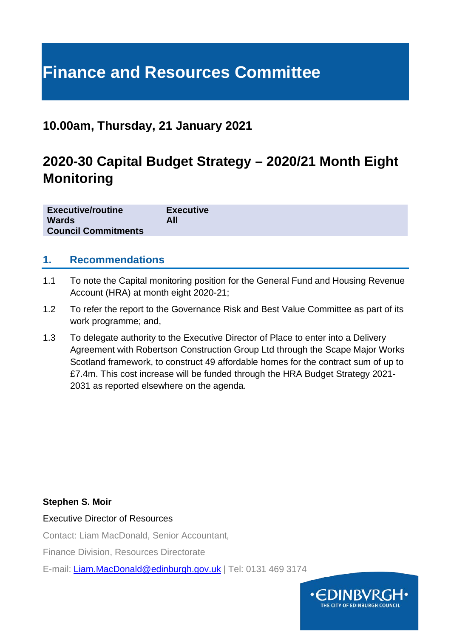# **Finance and Resources Committee**

## **10.00am, Thursday, 21 January 2021**

## **2020-30 Capital Budget Strategy – 2020/21 Month Eight Monitoring**

| <b>Executive/routine</b>   | <b>Executive</b> |
|----------------------------|------------------|
| <b>Wards</b>               | All              |
| <b>Council Commitments</b> |                  |

#### **1. Recommendations**

- 1.1 To note the Capital monitoring position for the General Fund and Housing Revenue Account (HRA) at month eight 2020-21;
- 1.2 To refer the report to the Governance Risk and Best Value Committee as part of its work programme; and,
- 1.3 To delegate authority to the Executive Director of Place to enter into a Delivery Agreement with Robertson Construction Group Ltd through the Scape Major Works Scotland framework, to construct 49 affordable homes for the contract sum of up to £7.4m. This cost increase will be funded through the HRA Budget Strategy 2021- 2031 as reported elsewhere on the agenda.

#### **Stephen S. Moir**

Executive Director of Resources

Contact: Liam MacDonald, Senior Accountant,

Finance Division, Resources Directorate

E-mail: [Liam.MacDonald@edinburgh.gov.uk](mailto:Liam.MacDonald@edinburgh.gov.uk) | Tel: 0131 469 3174

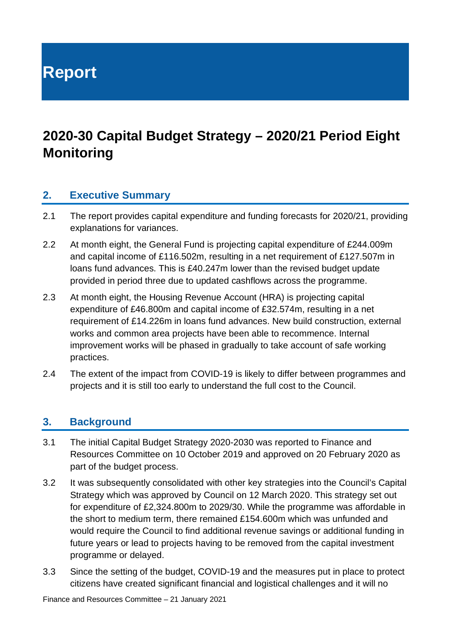**Report**

## **2020-30 Capital Budget Strategy – 2020/21 Period Eight Monitoring**

#### **2. Executive Summary**

- 2.1 The report provides capital expenditure and funding forecasts for 2020/21, providing explanations for variances.
- 2.2 At month eight, the General Fund is projecting capital expenditure of £244.009m and capital income of £116.502m, resulting in a net requirement of £127.507m in loans fund advances. This is £40.247m lower than the revised budget update provided in period three due to updated cashflows across the programme.
- 2.3 At month eight, the Housing Revenue Account (HRA) is projecting capital expenditure of £46.800m and capital income of £32.574m, resulting in a net requirement of £14.226m in loans fund advances. New build construction, external works and common area projects have been able to recommence. Internal improvement works will be phased in gradually to take account of safe working practices.
- 2.4 The extent of the impact from COVID-19 is likely to differ between programmes and projects and it is still too early to understand the full cost to the Council.

#### **3. Background**

- 3.1 The initial Capital Budget Strategy 2020-2030 was reported to Finance and Resources Committee on 10 October 2019 and approved on 20 February 2020 as part of the budget process.
- 3.2 It was subsequently consolidated with other key strategies into the Council's Capital Strategy which was approved by Council on 12 March 2020. This strategy set out for expenditure of £2,324.800m to 2029/30. While the programme was affordable in the short to medium term, there remained £154.600m which was unfunded and would require the Council to find additional revenue savings or additional funding in future years or lead to projects having to be removed from the capital investment programme or delayed.
- 3.3 Since the setting of the budget, COVID-19 and the measures put in place to protect citizens have created significant financial and logistical challenges and it will no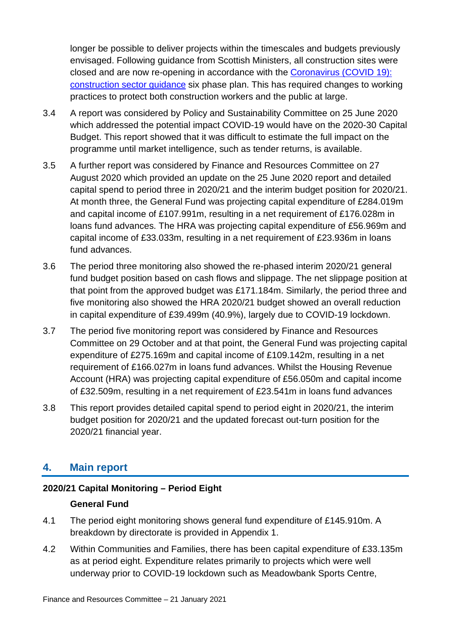longer be possible to deliver projects within the timescales and budgets previously envisaged. Following guidance from Scottish Ministers, all construction sites were closed and are now re-opening in accordance with the [Coronavirus \(COVID 19\):](https://www.gov.scot/publications/coronavirus-covid-19-construction-sector-guidance/)  [construction sector guidance](https://www.gov.scot/publications/coronavirus-covid-19-construction-sector-guidance/) six phase plan. This has required changes to working practices to protect both construction workers and the public at large.

- 3.4 A report was considered by Policy and Sustainability Committee on 25 June 2020 which addressed the potential impact COVID-19 would have on the 2020-30 Capital Budget. This report showed that it was difficult to estimate the full impact on the programme until market intelligence, such as tender returns, is available.
- 3.5 A further report was considered by Finance and Resources Committee on 27 August 2020 which provided an update on the 25 June 2020 report and detailed capital spend to period three in 2020/21 and the interim budget position for 2020/21. At month three, the General Fund was projecting capital expenditure of £284.019m and capital income of £107.991m, resulting in a net requirement of £176.028m in loans fund advances. The HRA was projecting capital expenditure of £56.969m and capital income of £33.033m, resulting in a net requirement of £23.936m in loans fund advances.
- 3.6 The period three monitoring also showed the re-phased interim 2020/21 general fund budget position based on cash flows and slippage. The net slippage position at that point from the approved budget was £171.184m. Similarly, the period three and five monitoring also showed the HRA 2020/21 budget showed an overall reduction in capital expenditure of £39.499m (40.9%), largely due to COVID-19 lockdown.
- 3.7 The period five monitoring report was considered by Finance and Resources Committee on 29 October and at that point, the General Fund was projecting capital expenditure of £275.169m and capital income of £109.142m, resulting in a net requirement of £166.027m in loans fund advances. Whilst the Housing Revenue Account (HRA) was projecting capital expenditure of £56.050m and capital income of £32.509m, resulting in a net requirement of £23.541m in loans fund advances
- 3.8 This report provides detailed capital spend to period eight in 2020/21, the interim budget position for 2020/21 and the updated forecast out-turn position for the 2020/21 financial year.

## **4. Main report**

#### **2020/21 Capital Monitoring – Period Eight**

#### **General Fund**

- 4.1 The period eight monitoring shows general fund expenditure of £145.910m. A breakdown by directorate is provided in Appendix 1.
- 4.2 Within Communities and Families, there has been capital expenditure of £33.135m as at period eight. Expenditure relates primarily to projects which were well underway prior to COVID-19 lockdown such as Meadowbank Sports Centre,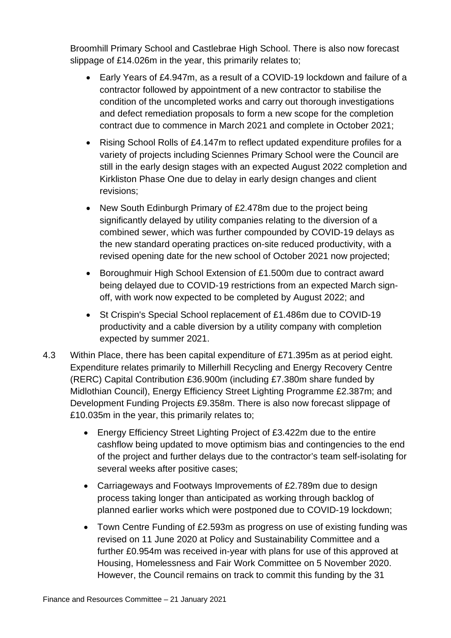Broomhill Primary School and Castlebrae High School. There is also now forecast slippage of £14.026m in the year, this primarily relates to;

- Early Years of £4.947m, as a result of a COVID-19 lockdown and failure of a contractor followed by appointment of a new contractor to stabilise the condition of the uncompleted works and carry out thorough investigations and defect remediation proposals to form a new scope for the completion contract due to commence in March 2021 and complete in October 2021;
- Rising School Rolls of £4.147m to reflect updated expenditure profiles for a variety of projects including Sciennes Primary School were the Council are still in the early design stages with an expected August 2022 completion and Kirkliston Phase One due to delay in early design changes and client revisions;
- New South Edinburgh Primary of £2.478m due to the project being significantly delayed by utility companies relating to the diversion of a combined sewer, which was further compounded by COVID-19 delays as the new standard operating practices on-site reduced productivity, with a revised opening date for the new school of October 2021 now projected;
- Boroughmuir High School Extension of £1.500m due to contract award being delayed due to COVID-19 restrictions from an expected March signoff, with work now expected to be completed by August 2022; and
- St Crispin's Special School replacement of £1.486m due to COVID-19 productivity and a cable diversion by a utility company with completion expected by summer 2021.
- 4.3 Within Place, there has been capital expenditure of £71.395m as at period eight. Expenditure relates primarily to Millerhill Recycling and Energy Recovery Centre (RERC) Capital Contribution £36.900m (including £7.380m share funded by Midlothian Council), Energy Efficiency Street Lighting Programme £2.387m; and Development Funding Projects £9.358m. There is also now forecast slippage of £10.035m in the year, this primarily relates to;
	- Energy Efficiency Street Lighting Project of £3.422m due to the entire cashflow being updated to move optimism bias and contingencies to the end of the project and further delays due to the contractor's team self-isolating for several weeks after positive cases;
	- Carriageways and Footways Improvements of £2.789m due to design process taking longer than anticipated as working through backlog of planned earlier works which were postponed due to COVID-19 lockdown;
	- Town Centre Funding of £2.593m as progress on use of existing funding was revised on 11 June 2020 at Policy and Sustainability Committee and a further £0.954m was received in-year with plans for use of this approved at Housing, Homelessness and Fair Work Committee on 5 November 2020. However, the Council remains on track to commit this funding by the 31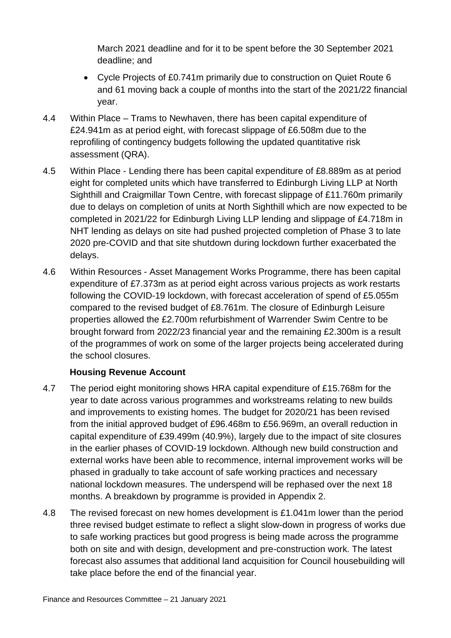March 2021 deadline and for it to be spent before the 30 September 2021 deadline; and

- Cycle Projects of £0.741m primarily due to construction on Quiet Route 6 and 61 moving back a couple of months into the start of the 2021/22 financial year.
- 4.4 Within Place Trams to Newhaven, there has been capital expenditure of £24.941m as at period eight, with forecast slippage of £6.508m due to the reprofiling of contingency budgets following the updated quantitative risk assessment (QRA).
- 4.5 Within Place Lending there has been capital expenditure of £8.889m as at period eight for completed units which have transferred to Edinburgh Living LLP at North Sighthill and Craigmillar Town Centre, with forecast slippage of £11.760m primarily due to delays on completion of units at North Sighthill which are now expected to be completed in 2021/22 for Edinburgh Living LLP lending and slippage of £4.718m in NHT lending as delays on site had pushed projected completion of Phase 3 to late 2020 pre-COVID and that site shutdown during lockdown further exacerbated the delays.
- 4.6 Within Resources Asset Management Works Programme, there has been capital expenditure of £7.373m as at period eight across various projects as work restarts following the COVID-19 lockdown, with forecast acceleration of spend of £5.055m compared to the revised budget of £8.761m. The closure of Edinburgh Leisure properties allowed the £2.700m refurbishment of Warrender Swim Centre to be brought forward from 2022/23 financial year and the remaining £2.300m is a result of the programmes of work on some of the larger projects being accelerated during the school closures.

#### **Housing Revenue Account**

- 4.7 The period eight monitoring shows HRA capital expenditure of £15.768m for the year to date across various programmes and workstreams relating to new builds and improvements to existing homes. The budget for 2020/21 has been revised from the initial approved budget of £96.468m to £56.969m, an overall reduction in capital expenditure of £39.499m (40.9%), largely due to the impact of site closures in the earlier phases of COVID-19 lockdown. Although new build construction and external works have been able to recommence, internal improvement works will be phased in gradually to take account of safe working practices and necessary national lockdown measures. The underspend will be rephased over the next 18 months. A breakdown by programme is provided in Appendix 2.
- 4.8 The revised forecast on new homes development is £1.041m lower than the period three revised budget estimate to reflect a slight slow-down in progress of works due to safe working practices but good progress is being made across the programme both on site and with design, development and pre-construction work. The latest forecast also assumes that additional land acquisition for Council housebuilding will take place before the end of the financial year.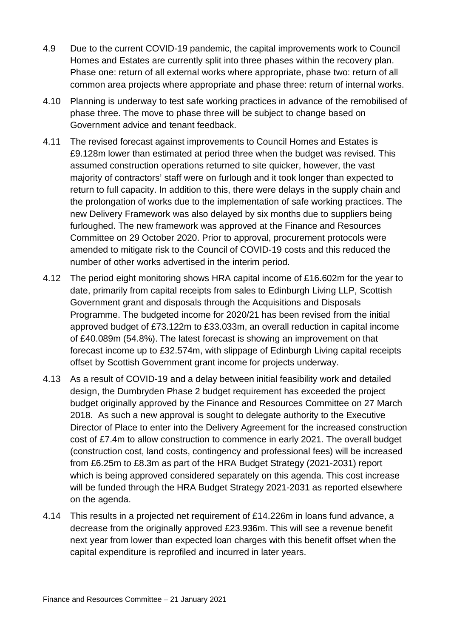- 4.9 Due to the current COVID-19 pandemic, the capital improvements work to Council Homes and Estates are currently split into three phases within the recovery plan. Phase one: return of all external works where appropriate, phase two: return of all common area projects where appropriate and phase three: return of internal works.
- 4.10 Planning is underway to test safe working practices in advance of the remobilised of phase three. The move to phase three will be subject to change based on Government advice and tenant feedback.
- 4.11 The revised forecast against improvements to Council Homes and Estates is £9.128m lower than estimated at period three when the budget was revised. This assumed construction operations returned to site quicker, however, the vast majority of contractors' staff were on furlough and it took longer than expected to return to full capacity. In addition to this, there were delays in the supply chain and the prolongation of works due to the implementation of safe working practices. The new Delivery Framework was also delayed by six months due to suppliers being furloughed. The new framework was approved at the Finance and Resources Committee on 29 October 2020. Prior to approval, procurement protocols were amended to mitigate risk to the Council of COVID-19 costs and this reduced the number of other works advertised in the interim period.
- 4.12 The period eight monitoring shows HRA capital income of £16.602m for the year to date, primarily from capital receipts from sales to Edinburgh Living LLP, Scottish Government grant and disposals through the Acquisitions and Disposals Programme. The budgeted income for 2020/21 has been revised from the initial approved budget of £73.122m to £33.033m, an overall reduction in capital income of £40.089m (54.8%). The latest forecast is showing an improvement on that forecast income up to £32.574m, with slippage of Edinburgh Living capital receipts offset by Scottish Government grant income for projects underway.
- 4.13 As a result of COVID-19 and a delay between initial feasibility work and detailed design, the Dumbryden Phase 2 budget requirement has exceeded the project budget originally approved by the Finance and Resources Committee on 27 March 2018. As such a new approval is sought to delegate authority to the Executive Director of Place to enter into the Delivery Agreement for the increased construction cost of £7.4m to allow construction to commence in early 2021. The overall budget (construction cost, land costs, contingency and professional fees) will be increased from £6.25m to £8.3m as part of the HRA Budget Strategy (2021-2031) report which is being approved considered separately on this agenda. This cost increase will be funded through the HRA Budget Strategy 2021-2031 as reported elsewhere on the agenda.
- 4.14 This results in a projected net requirement of £14.226m in loans fund advance, a decrease from the originally approved £23.936m. This will see a revenue benefit next year from lower than expected loan charges with this benefit offset when the capital expenditure is reprofiled and incurred in later years.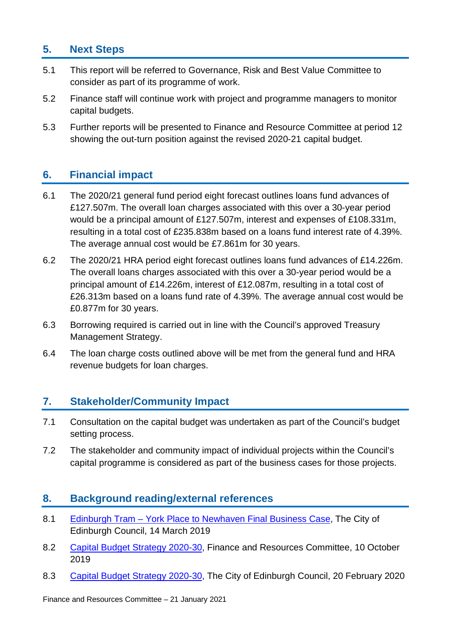## **5. Next Steps**

- 5.1 This report will be referred to Governance, Risk and Best Value Committee to consider as part of its programme of work.
- 5.2 Finance staff will continue work with project and programme managers to monitor capital budgets.
- 5.3 Further reports will be presented to Finance and Resource Committee at period 12 showing the out-turn position against the revised 2020-21 capital budget.

### **6. Financial impact**

- 6.1 The 2020/21 general fund period eight forecast outlines loans fund advances of £127.507m. The overall loan charges associated with this over a 30-year period would be a principal amount of £127.507m, interest and expenses of £108.331m, resulting in a total cost of £235.838m based on a loans fund interest rate of 4.39%. The average annual cost would be £7.861m for 30 years.
- 6.2 The 2020/21 HRA period eight forecast outlines loans fund advances of £14.226m. The overall loans charges associated with this over a 30-year period would be a principal amount of £14.226m, interest of £12.087m, resulting in a total cost of £26.313m based on a loans fund rate of 4.39%. The average annual cost would be £0.877m for 30 years.
- 6.3 Borrowing required is carried out in line with the Council's approved Treasury Management Strategy.
- 6.4 The loan charge costs outlined above will be met from the general fund and HRA revenue budgets for loan charges.

#### **7. Stakeholder/Community Impact**

- 7.1 Consultation on the capital budget was undertaken as part of the Council's budget setting process.
- 7.2 The stakeholder and community impact of individual projects within the Council's capital programme is considered as part of the business cases for those projects.

#### **8. Background reading/external references**

- 8.1 Edinburgh Tram [York Place to Newhaven Final Business Case,](http://www.edinburgh.gov.uk/download/meetings/id/60285/item_81_-_edinburgh_tram_%E2%80%93_york_place_to_newhaven_final_business_case_-_referral_from_the_transport_and_environment_committeepdf) The City of Edinburgh Council, 14 March 2019
- 8.2 [Capital Budget Strategy 2020-30,](https://democracy.edinburgh.gov.uk/documents/s9346/Capital%20Budget%20Strategy%202020-2030.pdf) Finance and Resources Committee, 10 October 2019
- 8.3 [Capital Budget Strategy 2020-30,](https://democracy.edinburgh.gov.uk/documents/s14099/Item%204.2%20-%20Capital%20Budget%20Strategy%202020-2030%20-%20Referral%20from%20FR.pdf) The City of Edinburgh Council, 20 February 2020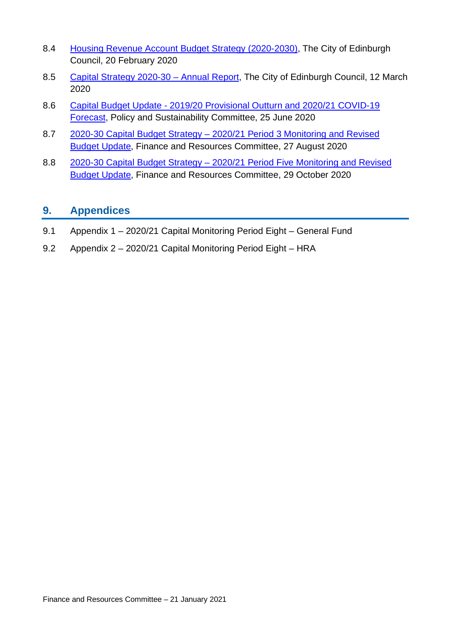- 8.4 [Housing Revenue Account Budget Strategy \(2020-2030\),](https://democracy.edinburgh.gov.uk/documents/s14097/Item%204.1d%20-%20Housing%20Revenue%20Account%20HRA%20Budget%20Strategy%20-%20Referral%20from%20FR.pdf) The City of Edinburgh Council, 20 February 2020
- 8.5 Capital Strategy 2020-30 Annual Report, The City of Edinburgh Council, 12 March 2020
- 8.6 Capital Budget Update [2019/20 Provisional Outturn and 2020/21 COVID-19](https://democracy.edinburgh.gov.uk/documents/s24507/Item%206.4%20-%20Capital%20Budget%20Update%202019-20%20Provisional%20Outturn%20and%202020-21%20COVID-19%20Forecast.pdf)  [Forecast,](https://democracy.edinburgh.gov.uk/documents/s24507/Item%206.4%20-%20Capital%20Budget%20Update%202019-20%20Provisional%20Outturn%20and%202020-21%20COVID-19%20Forecast.pdf) Policy and Sustainability Committee, 25 June 2020
- 8.7 [2020-30 Capital Budget Strategy –](https://democracy.edinburgh.gov.uk/documents/s25588/7.8%20-%202020-30%20Capital%20Budget%20Strategy%202020-21%20Period%203%20Monitoring%20and%20Revised%20Budget%20Update.pdf) 2020/21 Period 3 Monitoring and Revised [Budget Update,](https://democracy.edinburgh.gov.uk/documents/s25588/7.8%20-%202020-30%20Capital%20Budget%20Strategy%202020-21%20Period%203%20Monitoring%20and%20Revised%20Budget%20Update.pdf) Finance and Resources Committee, 27 August 2020
- 8.8 2020-30 Capital Budget Strategy [2020/21 Period Five Monitoring and Revised](https://democracy.edinburgh.gov.uk/documents/s28347/7.2%20-%202020-30%20Capital%20Budget%20Strategy%20202021%20Period%20Five%20Monitoring%20and%20Revised%20Budget%20Update.pdf)  [Budget Update,](https://democracy.edinburgh.gov.uk/documents/s28347/7.2%20-%202020-30%20Capital%20Budget%20Strategy%20202021%20Period%20Five%20Monitoring%20and%20Revised%20Budget%20Update.pdf) Finance and Resources Committee, 29 October 2020

#### **9. Appendices**

- 9.1 Appendix 1 2020/21 Capital Monitoring Period Eight General Fund
- 9.2 Appendix 2 2020/21 Capital Monitoring Period Eight HRA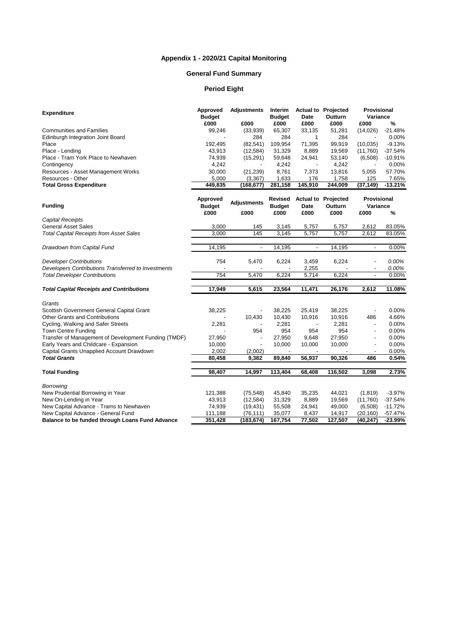#### **Appendix 1 - 2020/21 Capital Monitoring**

#### **General Fund Summary**

#### **Period Eight**

|                                                      | <b>Approved</b> | <b>Adjustments</b>       | Interim<br><b>Budget</b> | Date           | <b>Actual to Projected</b><br>Outturn | <b>Provisional</b><br>Variance |           |
|------------------------------------------------------|-----------------|--------------------------|--------------------------|----------------|---------------------------------------|--------------------------------|-----------|
| <b>Expenditure</b>                                   | <b>Budget</b>   |                          |                          |                |                                       |                                |           |
|                                                      | £000            | £000                     | £000                     | £000           | £000                                  | £000                           | %         |
| <b>Communities and Families</b>                      | 99,246          | (33,939)                 | 65,307                   | 33,135         | 51,281                                | (14,026)                       | $-21.48%$ |
| Edinburgh Integration Joint Board                    |                 | 284                      | 284                      | 1              | 284                                   |                                | 0.00%     |
| Place                                                | 192,495         | (82, 541)                | 109,954                  | 71,395         | 99,919                                | (10, 035)                      | $-9.13%$  |
| Place - Lending                                      | 43,913          | (12, 584)                | 31,329                   | 8,889          | 19,569                                | (11,760)                       | $-37.54%$ |
| Place - Tram York Place to Newhaven                  | 74,939          | (15, 291)                | 59,648                   | 24,941         | 53,140                                | (6,508)                        | $-10.91%$ |
| Contingency                                          | 4,242           |                          | 4,242                    |                | 4,242                                 |                                | 0.00%     |
| Resources - Asset Management Works                   | 30,000          | (21, 239)                | 8,761                    | 7,373          | 13,816                                | 5,055                          | 57.70%    |
| Resources - Other                                    | 5,000           | (3, 367)                 | 1,633                    | 176            | 1,758                                 | 125                            | 7.65%     |
| <b>Total Gross Expenditure</b>                       | 449,835         | (168, 677)               | 281,158                  | 145,910        | 244,009                               | (37, 149)                      | $-13.21%$ |
|                                                      |                 |                          |                          |                |                                       |                                |           |
|                                                      | Approved        | <b>Adjustments</b>       | Revised                  |                | <b>Actual to Projected</b>            | <b>Provisional</b>             |           |
| <b>Funding</b>                                       | <b>Budget</b>   |                          | <b>Budget</b>            | Date           | Outturn                               | Variance                       |           |
|                                                      | £000            | £000                     | £000                     | £000           | £000                                  | £000                           | %         |
| <b>Capital Receipts</b>                              |                 |                          |                          |                |                                       |                                |           |
| <b>General Asset Sales</b>                           | 3,000           | 145                      | 3,145                    | 5,757          | 5,757                                 | 2,612                          | 83.05%    |
| <b>Total Capital Receipts from Asset Sales</b>       | 3,000           | 145                      | 3,145                    | 5,757          | 5,757                                 | 2,612                          | 83.05%    |
| Drawdown from Capital Fund                           | 14,195          | $\overline{\phantom{a}}$ | 14,195                   | $\blacksquare$ | 14,195                                | $\overline{\phantom{a}}$       | 0.00%     |
| <b>Developer Contributions</b>                       | 754             | 5,470                    | 6,224                    | 3,459          | 6,224                                 |                                | 0.00%     |
| Developers Contributions Transferred to Investments  |                 |                          |                          |                |                                       |                                |           |
|                                                      | 754             | 5,470                    | 6,224                    | 2,255          | 6,224                                 |                                | 0.00%     |
| <b>Total Developer Contributions</b>                 |                 |                          |                          | 5,714          |                                       |                                | 0.00%     |
| <b>Total Capital Receipts and Contributions</b>      | 17,949          | 5,615                    | 23,564                   | 11,471         | 26,176                                | 2,612                          | 11.08%    |
| Grants                                               |                 |                          |                          |                |                                       |                                |           |
| Scottish Government General Capital Grant            | 38,225          | $\overline{a}$           | 38,225                   | 25,419         | 38,225                                |                                | 0.00%     |
| <b>Other Grants and Contributions</b>                |                 | 10,430                   | 10,430                   | 10,916         | 10,916                                | 486                            | 4.66%     |
| Cycling, Walking and Safer Streets                   | 2,281           |                          | 2,281                    |                | 2,281                                 | ÷,                             | 0.00%     |
| Town Centre Funding                                  |                 | 954                      | 954                      | 954            | 954                                   |                                | 0.00%     |
| Transfer of Management of Development Funding (TMDF) | 27,950          | $\overline{a}$           | 27,950                   | 9,648          | 27,950                                | $\overline{a}$                 | 0.00%     |
| Early Years and Childcare - Expansion                | 10,000          | $\overline{\phantom{a}}$ | 10,000                   | 10,000         | 10,000                                |                                | 0.00%     |
| Capital Grants Unapplied Account Drawdown            | 2,002           | (2,002)                  |                          |                |                                       |                                | 0.00%     |
| <b>Total Grants</b>                                  | 80,458          | 9,382                    | 89,840                   | 56,937         | 90,326                                | 486                            | 0.54%     |
|                                                      |                 |                          |                          |                |                                       |                                |           |
| <b>Total Funding</b>                                 | 98,407          | 14,997                   | 113,404                  | 68,408         | 116,502                               | 3,098                          | 2.73%     |
| <b>Borrowing</b>                                     |                 |                          |                          |                |                                       |                                |           |
| New Prudential Borrowing in Year                     | 121,388         | (75, 548)                | 45,840                   | 35,235         | 44,021                                | (1, 819)                       | $-3.97%$  |
| New On-Lending in Year                               | 43,913          | (12, 584)                | 31,329                   | 8,889          | 19,569                                | (11,760)                       | $-37.54%$ |
| New Capital Advance - Trams to Newhaven              | 74,939          | (19, 431)                | 55,508                   | 24,941         | 49,000                                | (6,508)                        | $-11.72%$ |
| New Capital Advance - General Fund                   | 111,188         | (76, 111)                | 35,077                   | 8,437          | 14,917                                | (20, 160)                      | $-57.47%$ |
| Balance to be funded through Loans Fund Advance      | 351,428         | (183, 674)               | 167,754                  | 77,502         | 127,507                               | (40, 247)                      | $-23.99%$ |